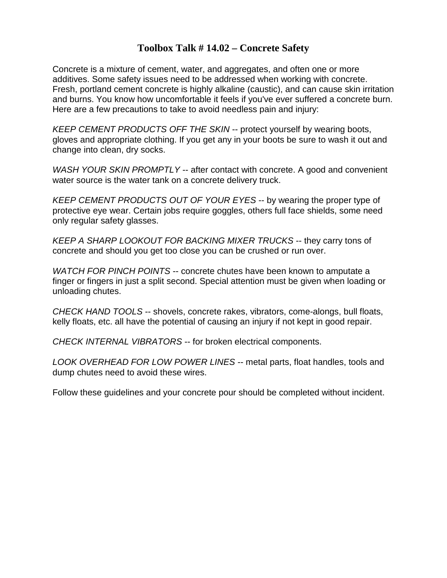## **Toolbox Talk # 14.02 – Concrete Safety**

Concrete is a mixture of cement, water, and aggregates, and often one or more additives. Some safety issues need to be addressed when working with concrete. Fresh, portland cement concrete is highly alkaline (caustic), and can cause skin irritation and burns. You know how uncomfortable it feels if you've ever suffered a concrete burn. Here are a few precautions to take to avoid needless pain and injury:

*KEEP CEMENT PRODUCTS OFF THE SKIN* -- protect yourself by wearing boots, gloves and appropriate clothing. If you get any in your boots be sure to wash it out and change into clean, dry socks.

*WASH YOUR SKIN PROMPTLY* -- after contact with concrete. A good and convenient water source is the water tank on a concrete delivery truck.

*KEEP CEMENT PRODUCTS OUT OF YOUR EYES* -- by wearing the proper type of protective eye wear. Certain jobs require goggles, others full face shields, some need only regular safety glasses.

*KEEP A SHARP LOOKOUT FOR BACKING MIXER TRUCKS* -- they carry tons of concrete and should you get too close you can be crushed or run over.

*WATCH FOR PINCH POINTS* -- concrete chutes have been known to amputate a finger or fingers in just a split second. Special attention must be given when loading or unloading chutes.

*CHECK HAND TOOLS* -- shovels, concrete rakes, vibrators, come-alongs, bull floats, kelly floats, etc. all have the potential of causing an injury if not kept in good repair.

*CHECK INTERNAL VIBRATORS* -- for broken electrical components.

*LOOK OVERHEAD FOR LOW POWER LINES* -- metal parts, float handles, tools and dump chutes need to avoid these wires.

Follow these guidelines and your concrete pour should be completed without incident.